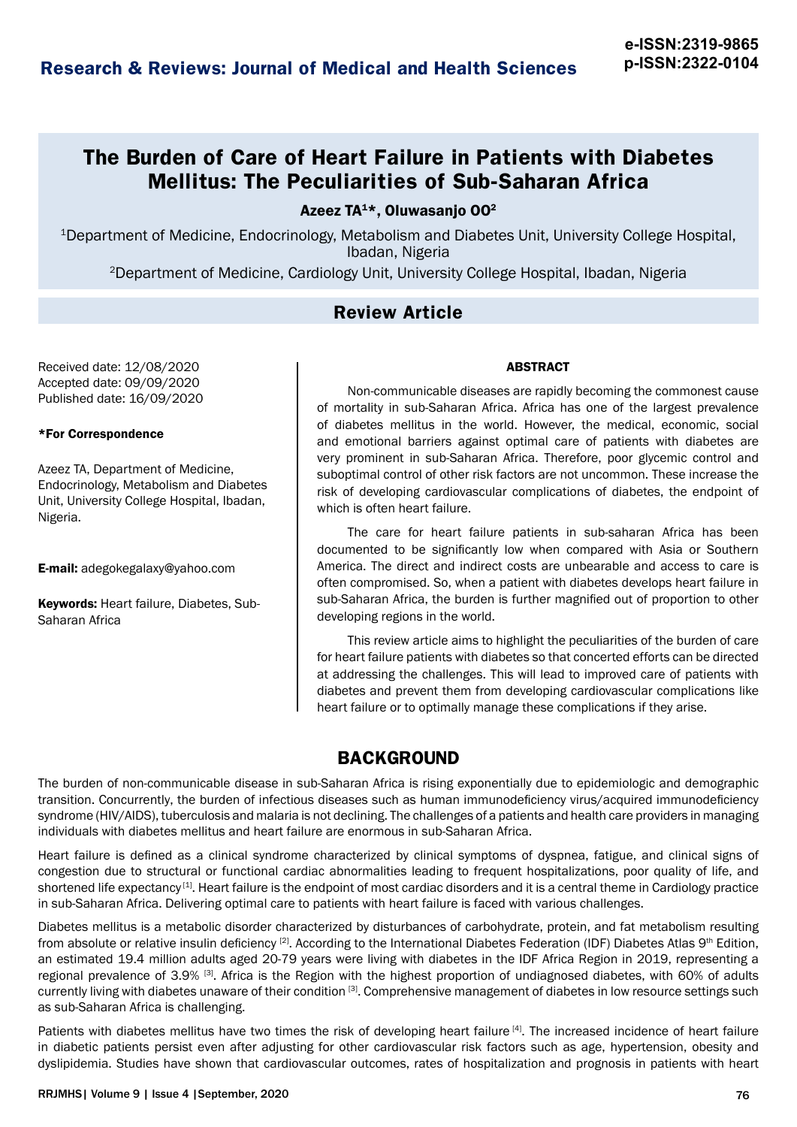# **The Burden of Care of Heart Failure in Patients with Diabetes Mellitus: The Peculiarities of Sub-Saharan Africa**

Azeez  $TA^{1*}$ , Oluwasanio OO<sup>2</sup>

1Department of Medicine, Endocrinology, Metabolism and Diabetes Unit, University College Hospital, Ibadan, Nigeria

2Department of Medicine, Cardiology Unit, University College Hospital, Ibadan, Nigeria

### **Review Article**

Received date: 12/08/2020 Accepted date: 09/09/2020 Published date: 16/09/2020

#### \*For Correspondence

Azeez TA, Department of Medicine, Endocrinology, Metabolism and Diabetes Unit, University College Hospital, Ibadan, Nigeria.

E-mail: adegokegalaxy@yahoo.com

Keywords: Heart failure, Diabetes, Sub-Saharan Africa

#### ABSTRACT

Non-communicable diseases are rapidly becoming the commonest cause of mortality in sub-Saharan Africa. Africa has one of the largest prevalence of diabetes mellitus in the world. However, the medical, economic, social and emotional barriers against optimal care of patients with diabetes are very prominent in sub-Saharan Africa. Therefore, poor glycemic control and suboptimal control of other risk factors are not uncommon. These increase the risk of developing cardiovascular complications of diabetes, the endpoint of which is often heart failure.

The care for heart failure patients in sub-saharan Africa has been documented to be significantly low when compared with Asia or Southern America. The direct and indirect costs are unbearable and access to care is often compromised. So, when a patient with diabetes develops heart failure in sub-Saharan Africa, the burden is further magnified out of proportion to other developing regions in the world.

This review article aims to highlight the peculiarities of the burden of care for heart failure patients with diabetes so that concerted efforts can be directed at addressing the challenges. This will lead to improved care of patients with diabetes and prevent them from developing cardiovascular complications like heart failure or to optimally manage these complications if they arise.

## **BACKGROUND**

The burden of non-communicable disease in sub-Saharan Africa is rising exponentially due to epidemiologic and demographic transition. Concurrently, the burden of infectious diseases such as human immunodeficiency virus/acquired immunodeficiency syndrome (HIV/AIDS), tuberculosis and malaria is not declining. The challenges of a patients and health care providers in managing individuals with diabetes mellitus and heart failure are enormous in sub-Saharan Africa.

Heart failure is defined as a clinical syndrome characterized by clinical symptoms of dyspnea, fatigue, and clinical signs of congestion due to structural or functional cardiac abnormalities leading to frequent hospitalizations, poor quality of life, and shortened life expectancy<sup>[1]</sup>. Heart failure is the endpoint of most cardiac disorders and it is a central theme in Cardiology practice in sub-Saharan Africa. Delivering optimal care to patients with heart failure is faced with various challenges.

Diabetes mellitus is a metabolic disorder characterized by disturbances of carbohydrate, protein, and fat metabolism resulting from absolute or relative insulin deficiency <sup>[2]</sup>. According to the International Diabetes Federation (IDF) Diabetes Atlas 9<sup>th</sup> Edition, an estimated 19.4 million adults aged 20-79 years were living with diabetes in the IDF Africa Region in 2019, representing a regional prevalence of 3.9% [3]. Africa is the Region with the highest proportion of undiagnosed diabetes, with 60% of adults currently living with diabetes unaware of their condition <sup>[3]</sup>. Comprehensive management of diabetes in low resource settings such as sub-Saharan Africa is challenging.

Patients with diabetes mellitus have two times the risk of developing heart failure [4]. The increased incidence of heart failure in diabetic patients persist even after adjusting for other cardiovascular risk factors such as age, hypertension, obesity and dyslipidemia. Studies have shown that cardiovascular outcomes, rates of hospitalization and prognosis in patients with heart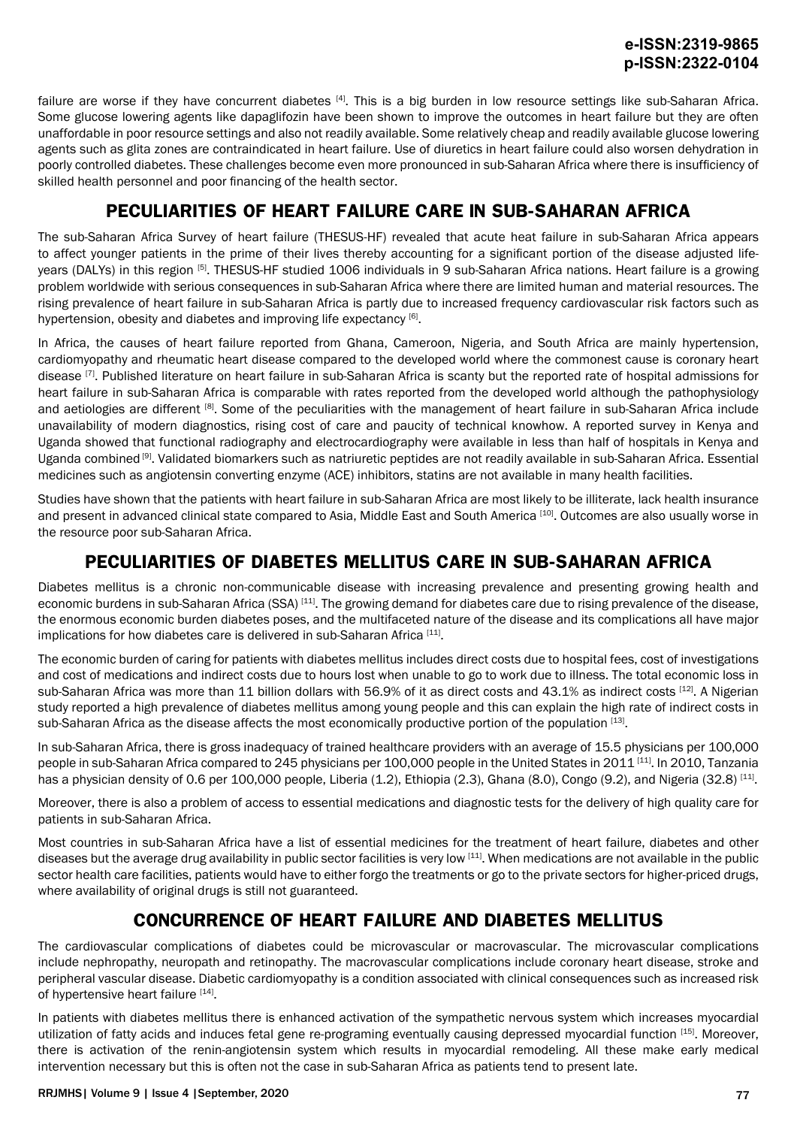failure are worse if they have concurrent diabetes  $[4]$ . This is a big burden in low resource settings like sub-Saharan Africa. Some glucose lowering agents like dapaglifozin have been shown to improve the outcomes in heart failure but they are often unaffordable in poor resource settings and also not readily available. Some relatively cheap and readily available glucose lowering agents such as glita zones are contraindicated in heart failure. Use of diuretics in heart failure could also worsen dehydration in poorly controlled diabetes. These challenges become even more pronounced in sub-Saharan Africa where there is insufficiency of skilled health personnel and poor financing of the health sector.

## **PECULIARITIES OF HEART FAILURE CARE IN SUB-SAHARAN AFRICA**

The sub-Saharan Africa Survey of heart failure (THESUS-HF) revealed that acute heat failure in sub-Saharan Africa appears to affect younger patients in the prime of their lives thereby accounting for a significant portion of the disease adjusted lifeyears (DALYs) in this region [5]. THESUS-HF studied 1006 individuals in 9 sub-Saharan Africa nations. Heart failure is a growing problem worldwide with serious consequences in sub-Saharan Africa where there are limited human and material resources. The rising prevalence of heart failure in sub-Saharan Africa is partly due to increased frequency cardiovascular risk factors such as hypertension, obesity and diabetes and improving life expectancy [6].

In Africa, the causes of heart failure reported from Ghana, Cameroon, Nigeria, and South Africa are mainly hypertension, cardiomyopathy and rheumatic heart disease compared to the developed world where the commonest cause is coronary heart disease [7]. Published literature on heart failure in sub-Saharan Africa is scanty but the reported rate of hospital admissions for heart failure in sub-Saharan Africa is comparable with rates reported from the developed world although the pathophysiology and aetiologies are different [8]. Some of the peculiarities with the management of heart failure in sub-Saharan Africa include unavailability of modern diagnostics, rising cost of care and paucity of technical knowhow. A reported survey in Kenya and Uganda showed that functional radiography and electrocardiography were available in less than half of hospitals in Kenya and Uganda combined [9]. Validated biomarkers such as natriuretic peptides are not readily available in sub-Saharan Africa. Essential medicines such as angiotensin converting enzyme (ACE) inhibitors, statins are not available in many health facilities.

Studies have shown that the patients with heart failure in sub-Saharan Africa are most likely to be illiterate, lack health insurance and present in advanced clinical state compared to Asia, Middle East and South America [10]. Outcomes are also usually worse in the resource poor sub-Saharan Africa.

## **PECULIARITIES OF DIABETES MELLITUS CARE IN SUB-SAHARAN AFRICA**

Diabetes mellitus is a chronic non-communicable disease with increasing prevalence and presenting growing health and economic burdens in sub-Saharan Africa (SSA) [11]. The growing demand for diabetes care due to rising prevalence of the disease, the enormous economic burden diabetes poses, and the multifaceted nature of the disease and its complications all have major implications for how diabetes care is delivered in sub-Saharan Africa [11].

The economic burden of caring for patients with diabetes mellitus includes direct costs due to hospital fees, cost of investigations and cost of medications and indirect costs due to hours lost when unable to go to work due to illness. The total economic loss in sub-Saharan Africa was more than 11 billion dollars with 56.9% of it as direct costs and 43.1% as indirect costs [12]. A Nigerian study reported a high prevalence of diabetes mellitus among young people and this can explain the high rate of indirect costs in sub-Saharan Africa as the disease affects the most economically productive portion of the population [13].

In sub-Saharan Africa, there is gross inadequacy of trained healthcare providers with an average of 15.5 physicians per 100,000 people in sub-Saharan Africa compared to 245 physicians per 100,000 people in the United States in 2011 [11]. In 2010, Tanzania has a physician density of 0.6 per 100,000 people, Liberia (1.2), Ethiopia (2.3), Ghana (8.0), Congo (9.2), and Nigeria (32.8) [11].

Moreover, there is also a problem of access to essential medications and diagnostic tests for the delivery of high quality care for patients in sub-Saharan Africa.

Most countries in sub-Saharan Africa have a list of essential medicines for the treatment of heart failure, diabetes and other diseases but the average drug availability in public sector facilities is very low [11]. When medications are not available in the public sector health care facilities, patients would have to either forgo the treatments or go to the private sectors for higher-priced drugs, where availability of original drugs is still not guaranteed.

## **CONCURRENCE OF HEART FAILURE AND DIABETES MELLITUS**

The cardiovascular complications of diabetes could be microvascular or macrovascular. The microvascular complications include nephropathy, neuropath and retinopathy. The macrovascular complications include coronary heart disease, stroke and peripheral vascular disease. Diabetic cardiomyopathy is a condition associated with clinical consequences such as increased risk of hypertensive heart failure [14].

In patients with diabetes mellitus there is enhanced activation of the sympathetic nervous system which increases myocardial utilization of fatty acids and induces fetal gene re-programing eventually causing depressed myocardial function [15]. Moreover, there is activation of the renin-angiotensin system which results in myocardial remodeling. All these make early medical intervention necessary but this is often not the case in sub-Saharan Africa as patients tend to present late.